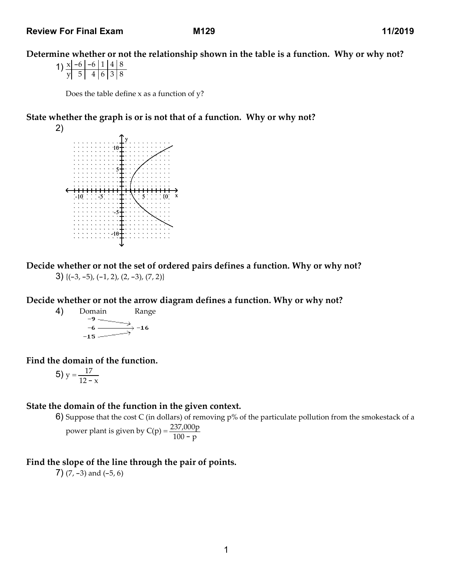Determine whether or not the relationship shown in the table is a function. Why or why not?

1)  $x - 6 - 6$  1 4 8  $y 5 4 6 3 8$ 

Does the table define  $x$  as a function of  $y$ ?

State whether the graph is or is not that of a function. Why or why not?



Decide whether or not the set of ordered pairs defines a function. Why or why not?  $3)$  {(-3, -5), (-1, 2), (2, -3), (7, 2)}

Decide whether or not the arrow diagram defines a function. Why or why not?

4) Domain Range  $-6$ .  $-16$  $-15 -$ 

Find the domain of the function.

$$
5) y = \frac{17}{12 - x}
$$

# State the domain of the function in the given context.

6) Suppose that the cost C (in dollars) of removing p% of the particulate pollution from the smokestack of a

power plant is given by C(p) = 
$$
\frac{237,000p}{100 - p}
$$

Find the slope of the line through the pair of points.

7)  $(7, -3)$  and  $(-5, 6)$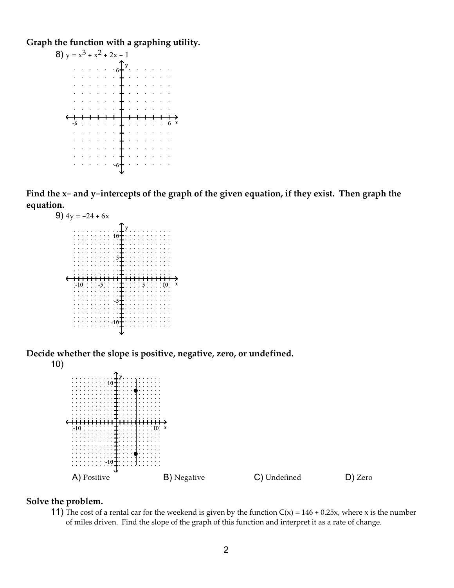Graph the function with a graphing utility.



Find the x- and y-intercepts of the graph of the given equation, if they exist. Then graph the equation.



Decide whether the slope is positive, negative, zero, or undefined. 10)



## Solve the problem.

11) The cost of a rental car for the weekend is given by the function  $C(x) = 146 + 0.25x$ , where x is the number of miles driven. Find the slope of the graph of this function and interpret it as a rate of change.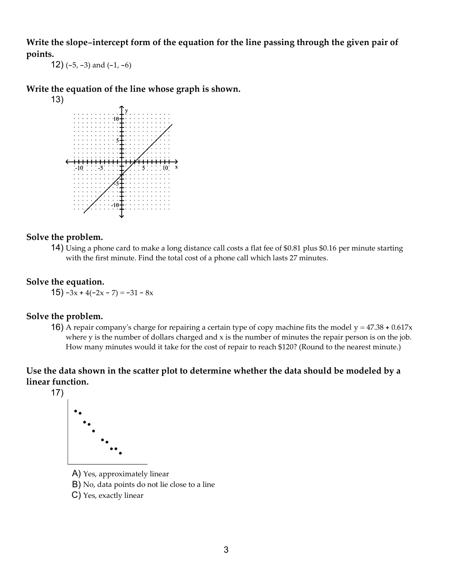Write the slope-intercept form of the equation for the line passing through the given pair of points.

12)  $(-5, -3)$  and  $(-1, -6)$ 

Write the equation of the line whose graph is shown.



## Solve the problem.

14) Using a phone card to make a long distance call costs a flat fee of \$0.81 plus \$0.16 per minute starting with the first minute. Find the total cost of a phone call which lasts 27 minutes.

# Solve the equation.

15)  $-3x + 4(-2x - 7) = -31 - 8x$ 

#### Solve the problem.

16) A repair company's charge for repairing a certain type of copy machine fits the model  $y = 47.38 + 0.617x$ where  $y$  is the number of dollars charged and  $x$  is the number of minutes the repair person is on the job. How many minutes would it take for the cost of repair to reach \$120? (Round to the nearest minute.)

# Use the data shown in the scatter plot to determine whether the data should be modeled by a linear function.

17)



- A) Yes, approximately linear
- B) No, data points do not lie close to a line
- C) Yes, exactly linear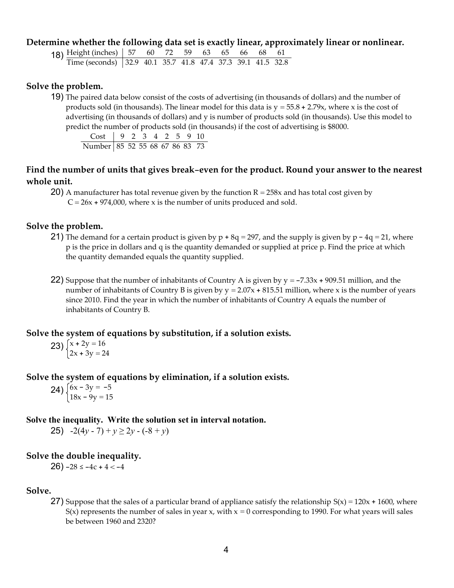#### Determine whether the following data set is exactly linear, approximately linear or nonlinear.

18) Height (inches) | 57 60 72 59 63 65 66 68 Time (seconds) 32.9 40.1 35.7 41.8 47.4 37.3 39.1 41.5 32.8

### Solve the problem.

19) The paired data below consist of the costs of advertising (in thousands of dollars) and the number of products sold (in thousands). The linear model for this data is  $y = 55.8 + 2.79x$ , where x is the cost of advertising (in thousands of dollars) and y is number of products sold (in thousands). Use this model to predict the number of products sold (in thousands) if the cost of advertising is \$8000.

 Cost 9 2 3 4 2 5 9 10 Number 85 52 55 68 67 86 83 73

# Find the number of units that gives break-even for the product. Round your answer to the nearest whole unit.

20) A manufacturer has total revenue given by the function  $R = 258x$  and has total cost given by  $C = 26x + 974,000$ , where x is the number of units produced and sold.

### Solve the problem.

- 21) The demand for a certain product is given by  $p + 8q = 297$ , and the supply is given by  $p 4q = 21$ , where p is the price in dollars and q is the quantity demanded or supplied at price p. Find the price at which the quantity demanded equals the quantity supplied.
- 22) Suppose that the number of inhabitants of Country A is given by  $y = -7.33x + 909.51$  million, and the number of inhabitants of Country B is given by  $y = 2.07x + 815.51$  million, where x is the number of years since 2010. Find the year in which the number of inhabitants of Country A equals the number of inhabitants of Country B.

#### Solve the system of equations by substitution, if a solution exists.

$$
23) \begin{cases} x + 2y = 16 \\ 2x + 3y = 24 \end{cases}
$$

# Solve the system of equations by elimination, if a solution exists.

24)  $\int 6x - 3y = -5$  $18x - 9y = 15$ 

#### Solve the inequality. Write the solution set in interval notation.

25)  $-2(4y - 7) + y \ge 2y - (-8 + y)$ 

#### Solve the double inequality.

26)  $-28 \le -4c + 4 < -4$ 

#### Solve.

27) Suppose that the sales of a particular brand of appliance satisfy the relationship  $S(x) = 120x + 1600$ , where  $S(x)$  represents the number of sales in year x, with  $x = 0$  corresponding to 1990. For what years will sales be between 1960 and 2320?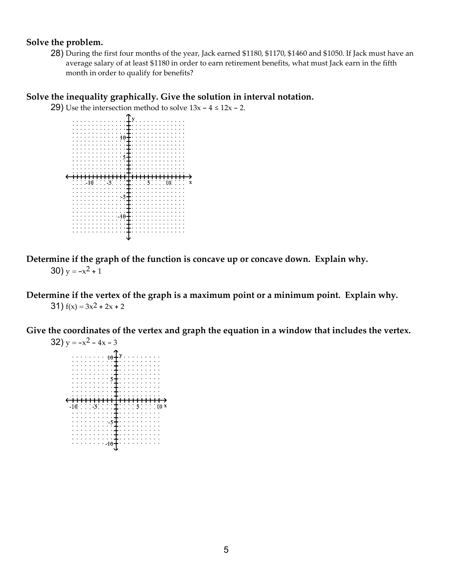# Solve the problem.

28) During the first four months of the year, Jack earned \$1180, \$1170, \$1460 and \$1050. If Jack must have an average salary of at least \$1180 in order to earn retirement benefits, what must Jack earn in the fifth month in order to qualify for benefits?

# Solve the inequality graphically. Give the solution in interval notation.

29) Use the intersection method to solve  $13x - 4 \le 12x - 2$ .



Determine if the graph of the function is concave up or concave down. Explain why. 30)  $y = -x^2 + 1$ 

Determine if the vertex of the graph is a maximum point or a minimum point. Explain why. 31)  $f(x) = 3x^2 + 2x + 2$ 

Give the coordinates of the vertex and graph the equation in a window that includes the vertex.

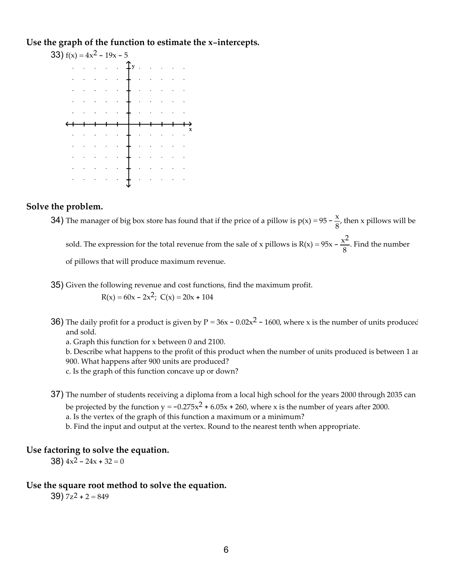Use the graph of the function to estimate the x-intercepts.



#### Solve the problem.

**34)** The manager of big box store has found that if the price of a pillow is  $p(x) = 95 - \frac{x}{6}$  $\frac{\lambda}{8}$ , then x pillows will be sold. The expression for the total revenue from the sale of x pillows is  $R(x) = 95x - \frac{x^2}{6}$  $\frac{8}{8}$ . Find the number of pillows that will produce maximum revenue.

35) Given the following revenue and cost functions, find the maximum profit.

 $R(x) = 60x - 2x^2$ ;  $C(x) = 20x + 104$ 

36) The daily profit for a product is given by  $P = 36x - 0.02x^2 - 1600$ , where x is the number of units produced and sold.

a. Graph this function for x between 0 and 2100.

b. Describe what happens to the profit of this product when the number of units produced is between 1 and 900. What happens after 900 units are produced?

c. Is the graph of this function concave up or down?

37) The number of students receiving a diploma from a local high school for the years 2000 through 2035 can

be projected by the function  $y = -0.275x^2 + 6.05x + 260$ , where x is the number of years after 2000.

a. Is the vertex of the graph of this function a maximum or a minimum?

b. Find the input and output at the vertex. Round to the nearest tenth when appropriate.

## Use factoring to solve the equation.

38)  $4x^2 - 24x + 32 = 0$ 

## Use the square root method to solve the equation.

39)  $7z^2 + 2 = 849$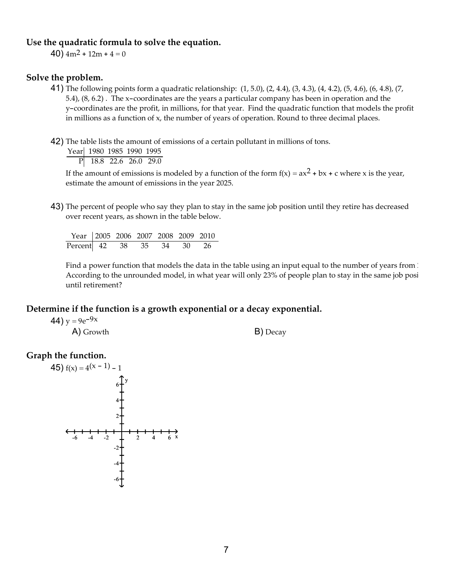#### Use the quadratic formula to solve the equation.

40)  $4m^2 + 12m + 4 = 0$ 

# Solve the problem.

- 41) The following points form a quadratic relationship: (1, 5.0), (2, 4.4), (3, 4.3), (4, 4.2), (5, 4.6), (6, 4.8), (7, 5.4), (8, 6.2) . The x-coordinates are the years a particular company has been in operation and the y-coordinates are the profit, in millions, for that year. Find the quadratic function that models the profit in millions as a function of x, the number of years of operation. Round to three decimal places.
- 42) The table lists the amount of emissions of a certain pollutant in millions of tons.

Year 1980 1985 1990 1995 P 18.8 22.6 26.0 29.0

If the amount of emissions is modeled by a function of the form  $f(x) = ax^2 + bx + c$  where x is the year, estimate the amount of emissions in the year 2025.

43) The percent of people who say they plan to stay in the same job position until they retire has decreased over recent years, as shown in the table below.

Year 2005 2006 2007 2008 2009 2010 Percent 42 38 35 34 30

Find a power function that models the data in the table using an input equal to the number of years from 2000. According to the unrounded model, in what year will only 23% of people plan to stay in the same job posi until retirement?

#### Determine if the function is a growth exponential or a decay exponential.

44)  $y = 9e^{-9x}$ 

A) Growth B) Decay

## Graph the function.

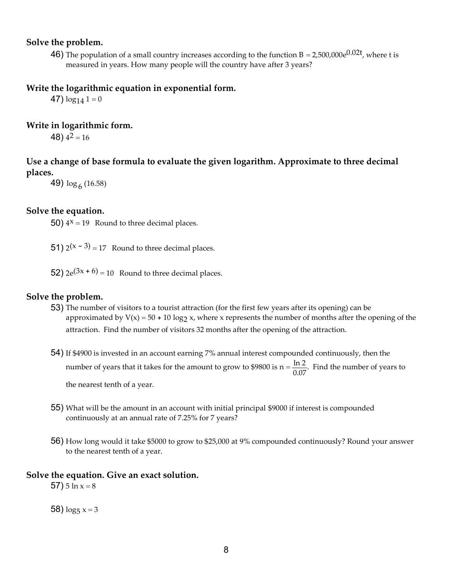## Solve the problem.

**46)** The population of a small country increases according to the function B = 2,500,000e<sup>0.02t</sup>, where t is measured in years. How many people will the country have after 3 years?

## Write the logarithmic equation in exponential form.

47)  $\log_{14} 1 = 0$ 

# Write in logarithmic form.

48)  $4^2 = 16$ 

# Use a change of base formula to evaluate the given logarithm. Approximate to three decimal places.

49)  $\log_6(16.58)$ 

## Solve the equation.

50)  $4^x = 19$  Round to three decimal places.

**51)**  $2(x - 3) = 17$  Round to three decimal places.

52)  $2e^{(3x + 6)} = 10$  Round to three decimal places.

#### Solve the problem.

- 53) The number of visitors to a tourist attraction (for the first few years after its opening) can be approximated by  $V(x) = 50 + 10 \log_2 x$ , where x represents the number of months after the opening of the attraction. Find the number of visitors 32 months after the opening of the attraction.
- 54) If \$4900 is invested in an account earning 7% annual interest compounded continuously, then the number of years that it takes for the amount to grow to \$9800 is  $n = \frac{\ln 2}{2.07}$  $\frac{m_2}{0.07}$ . Find the number of years to the nearest tenth of a year.
- 55) What will be the amount in an account with initial principal \$9000 if interest is compounded continuously at an annual rate of 7.25% for 7 years?
- 56) How long would it take \$5000 to grow to \$25,000 at 9% compounded continuously? Round your answer to the nearest tenth of a year.

## Solve the equation. Give an exact solution.

57)  $5 \ln x = 8$ 

58)  $\log_5 x = 3$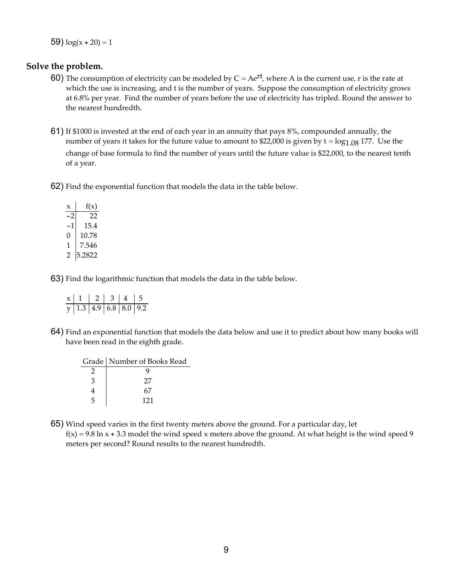59)  $log(x + 20) = 1$ 

# Solve the problem.

- 60) The consumption of electricity can be modeled by  $C = Ae^{rt}$ , where A is the current use, r is the rate at which the use is increasing, and t is the number of years. Suppose the consumption of electricity grows at 6.8% per year. Find the number of years before the use of electricity has tripled. Round the answer to the nearest hundredth.
- 61) If \$1000 is invested at the end of each year in an annuity that pays 8%, compounded annually, the number of years it takes for the future value to amount to \$22,000 is given by  $t = log_{1.08} 177$ . Use the change of base formula to find the number of years until the future value is \$22,000, to the nearest tenth of a year.
- 62) Find the exponential function that models the data in the table below.

| $\mathsf{x}$ | f(x)   |
|--------------|--------|
| $-2$         | 22     |
| -1           | 15.4   |
| 0            | 10.78  |
| 1            | 7.546  |
| 2            | 5.2822 |

63) Find the logarithmic function that models the data in the table below.

|  | $\begin{array}{ c c c c c c }\hline x&1&2&3&4&5 \ \hline y&1.3&4.9&6.8&8.0&9.2 \ \hline \end{array}$ |  |
|--|------------------------------------------------------------------------------------------------------|--|
|  |                                                                                                      |  |

64) Find an exponential function that models the data below and use it to predict about how many books will have been read in the eighth grade.

|               | Grade   Number of Books Read |
|---------------|------------------------------|
|               |                              |
| $\mathcal{P}$ | 27                           |
|               |                              |
| 5             | 121                          |

65) Wind speed varies in the first twenty meters above the ground. For a particular day, let

 $f(x) = 9.8 \ln x + 3.3$  model the wind speed x meters above the ground. At what height is the wind speed 9 meters per second? Round results to the nearest hundredth.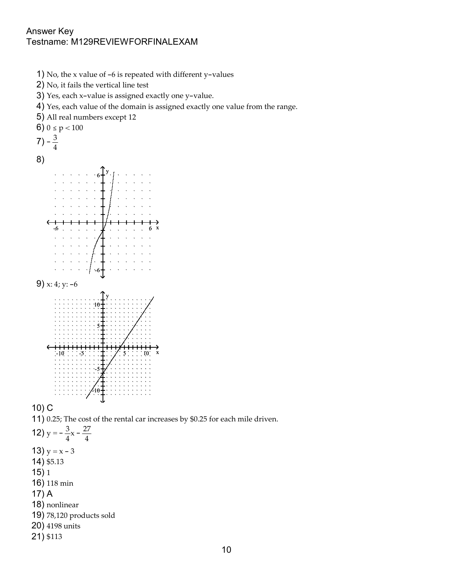# Answer Key Testname: M129REVIEWFORFINALEXAM



- 2) No, it fails the vertical line test
- 3) Yes, each x-value is assigned exactly one y-value.
- 4) Yes, each value of the domain is assigned exactly one value from the range.
- 5) All real numbers except 12 6)  $0 \le p < 100$  $(7) - \frac{3}{4}$ 4 8) me: M129REVIEWFORFINALEXAM<br>
o, the x value of -6 is repeated with different y-values<br>
o, it fails the vertical line test<br>
s.e, each v-value is assigned exactly one y-value.<br>
s.e, each v-value is assigned exactly one value  $y_{\ell}$  $6 + \sqrt{2}$  $-6 +$  . The set of the set of the set of the set of the set of the set of the set of the set of the set of the set of the set of the set of the set of the set of the set of the set of the set of the set of the set of the 9) x: 4; y: -6  $-1$ <br>  $\frac{1}{2}$ <br>  $\frac{1}{2}$ <br>  $\frac{1}{2}$ <br>  $\frac{1}{2}$ <br>  $\frac{1}{2}$ <br>  $\frac{1}{2}$ <br>  $\frac{1}{2}$ <br>  $\frac{1}{2}$ <br>  $\frac{1}{2}$ <br>  $\frac{1}{2}$ <br>  $\frac{1}{2}$ <br>  $\frac{1}{2}$ <br>  $\frac{1}{2}$ <br>  $\frac{1}{2}$ <br>  $\frac{1}{2}$ <br>  $\frac{1}{2}$ <br>  $\frac{1}{2}$ <br>  $\frac{1}{2}$ <br>  $\frac{1}{2}$ <br>  $\frac{1}{$  $y \sim 1$ 10  $5 + \cdots$  ,  $\gamma$  ,  $\cdots$  ,  $\gamma$ -5  $\uparrow$   $\uparrow$   $\uparrow$   $\uparrow$   $\uparrow$   $\uparrow$   $\uparrow$   $\uparrow$   $\uparrow$   $\uparrow$   $\uparrow$   $\uparrow$   $\uparrow$   $\uparrow$   $\uparrow$   $\uparrow$   $\uparrow$   $\uparrow$   $\uparrow$   $\uparrow$   $\uparrow$   $\uparrow$   $\uparrow$   $\uparrow$   $\uparrow$   $\uparrow$   $\uparrow$   $\uparrow$   $\uparrow$   $\uparrow$   $\uparrow$   $\uparrow$   $\uparrow$   $\uparrow$   $\uparrow$   $\uparrow$   $\$  $-10 + \cdot \cdot \cdot \cdot \cdot \cdot \cdot \cdot \cdot$

10) C

- 11) 0.25; The cost of the rental car increases by \$0.25 for each mile driven.
- 12)  $y = -\frac{3}{4}$  $\frac{3}{4}x - \frac{27}{4}$ 4 13)  $y = x - 3$ 14) \$5.13
- 15) 1
- 16) 118 min
- 17) A
- 18) nonlinear
- 19) 78,120 products sold
- 20) 4198 units
- 21) \$113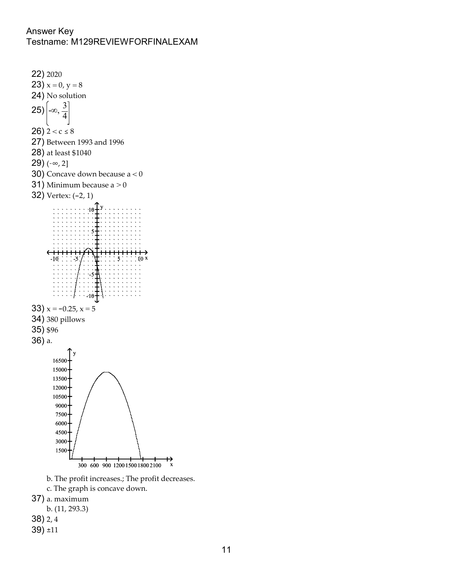# Answer Key Testname: M129REVIEWFORFINALEXAM



b. The profit increases.; The profit decreases.

c. The graph is concave down.

37) a. maximum

b. (11, 293.3)

38) 2, 4

39) ±11